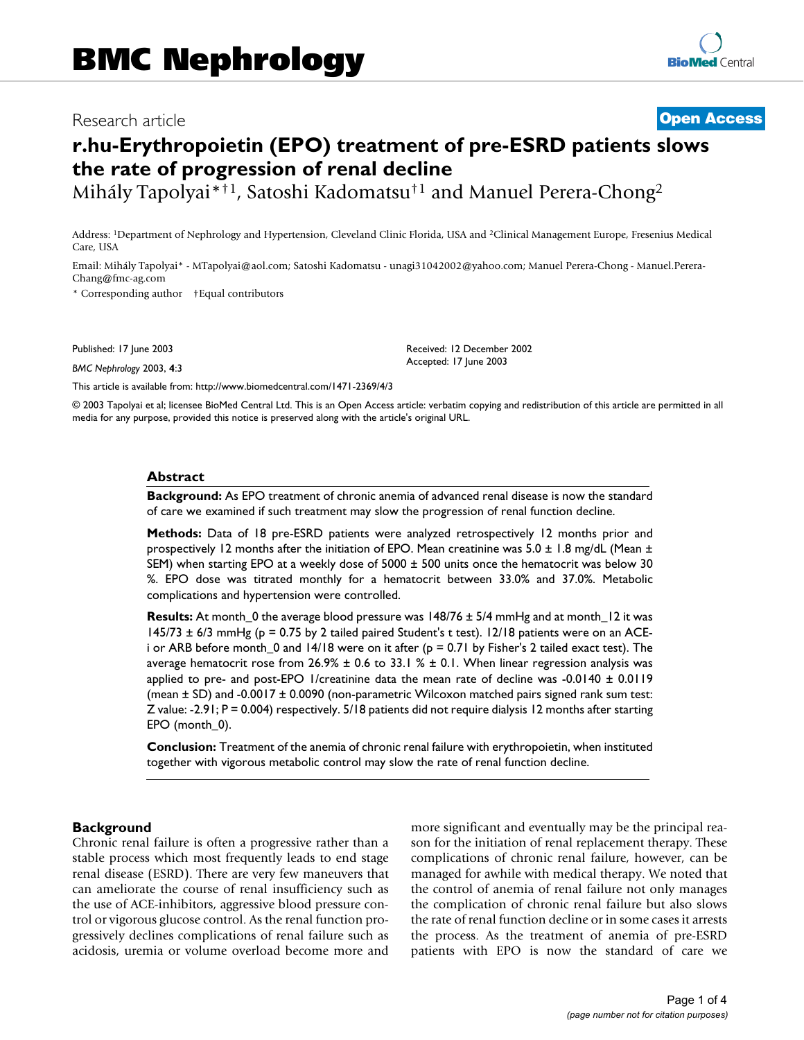# Research article **[Open Access](http://www.biomedcentral.com/info/about/charter/)**

# **r.hu-Erythropoietin (EPO) treatment of pre-ESRD patients slows the rate of progression of renal decline**

Mihály Tapolyai\*†1, Satoshi Kadomatsu†1 and Manuel Perera-Chong2

Address: 1Department of Nephrology and Hypertension, Cleveland Clinic Florida, USA and 2Clinical Management Europe, Fresenius Medical Care, USA

Email: Mihály Tapolyai\* - MTapolyai@aol.com; Satoshi Kadomatsu - unagi31042002@yahoo.com; Manuel Perera-Chong - Manuel.Perera-Chang@fmc-ag.com

\* Corresponding author †Equal contributors

Published: 17 June 2003

*BMC Nephrology* 2003, **4**:3

[This article is available from: http://www.biomedcentral.com/1471-2369/4/3](http://www.biomedcentral.com/1471-2369/4/3)

© 2003 Tapolyai et al; licensee BioMed Central Ltd. This is an Open Access article: verbatim copying and redistribution of this article are permitted in all media for any purpose, provided this notice is preserved along with the article's original URL.

Received: 12 December 2002 Accepted: 17 June 2003

#### **Abstract**

**Background:** As EPO treatment of chronic anemia of advanced renal disease is now the standard of care we examined if such treatment may slow the progression of renal function decline.

**Methods:** Data of 18 pre-ESRD patients were analyzed retrospectively 12 months prior and prospectively 12 months after the initiation of EPO. Mean creatinine was 5.0 ± 1.8 mg/dL (Mean ± SEM) when starting EPO at a weekly dose of 5000 ± 500 units once the hematocrit was below 30 %. EPO dose was titrated monthly for a hematocrit between 33.0% and 37.0%. Metabolic complications and hypertension were controlled.

**Results:** At month\_0 the average blood pressure was 148/76 ± 5/4 mmHg and at month\_12 it was  $145/73 \pm 6/3$  mmHg (p = 0.75 by 2 tailed paired Student's t test). 12/18 patients were on an ACEi or ARB before month\_0 and  $14/18$  were on it after ( $p = 0.71$  by Fisher's 2 tailed exact test). The average hematocrit rose from  $26.9% \pm 0.6$  to 33.1 %  $\pm$  0.1. When linear regression analysis was applied to pre- and post-EPO 1/creatinine data the mean rate of decline was -0.0140  $\pm$  0.0119 (mean ± SD) and -0.0017 ± 0.0090 (non-parametric Wilcoxon matched pairs signed rank sum test: Z value: -2.91; P = 0.004) respectively. 5/18 patients did not require dialysis 12 months after starting EPO (month 0).

**Conclusion:** Treatment of the anemia of chronic renal failure with erythropoietin, when instituted together with vigorous metabolic control may slow the rate of renal function decline.

#### **Background**

Chronic renal failure is often a progressive rather than a stable process which most frequently leads to end stage renal disease (ESRD). There are very few maneuvers that can ameliorate the course of renal insufficiency such as the use of ACE-inhibitors, aggressive blood pressure control or vigorous glucose control. As the renal function progressively declines complications of renal failure such as acidosis, uremia or volume overload become more and more significant and eventually may be the principal reason for the initiation of renal replacement therapy. These complications of chronic renal failure, however, can be managed for awhile with medical therapy. We noted that the control of anemia of renal failure not only manages the complication of chronic renal failure but also slows the rate of renal function decline or in some cases it arrests the process. As the treatment of anemia of pre-ESRD patients with EPO is now the standard of care we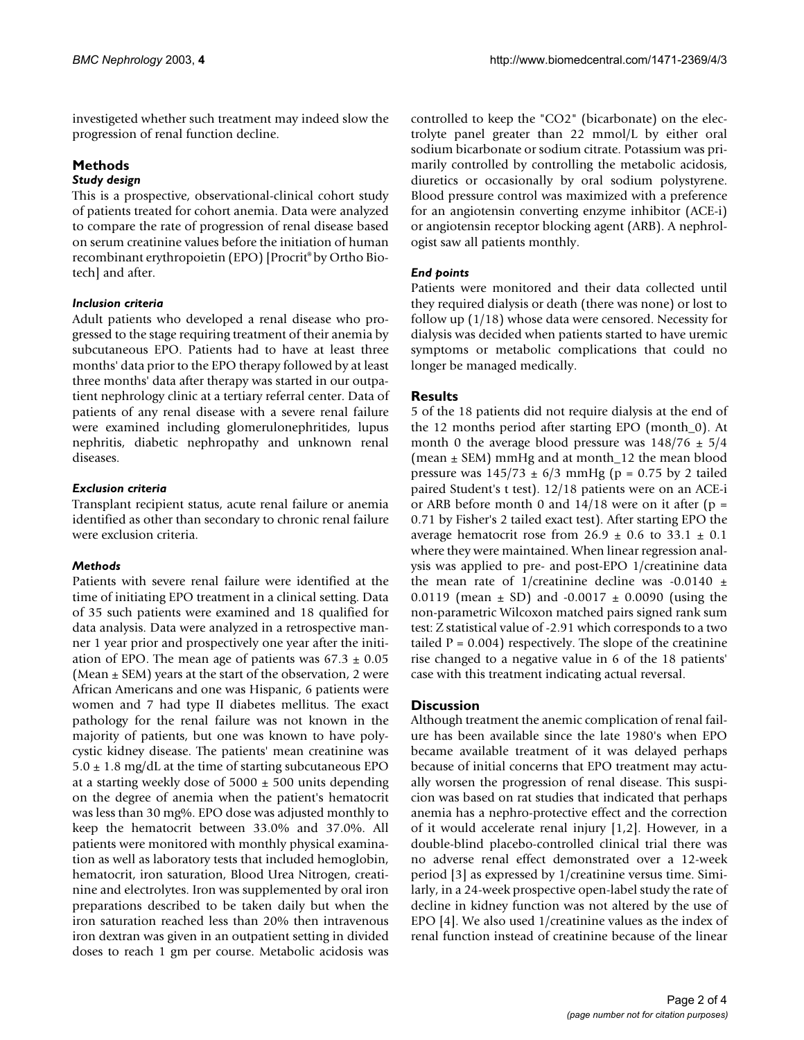investigeted whether such treatment may indeed slow the progression of renal function decline.

# **Methods**

### *Study design*

This is a prospective, observational-clinical cohort study of patients treated for cohort anemia. Data were analyzed to compare the rate of progression of renal disease based on serum creatinine values before the initiation of human recombinant erythropoietin (EPO) [Procrit® by Ortho Biotech] and after.

## *Inclusion criteria*

Adult patients who developed a renal disease who progressed to the stage requiring treatment of their anemia by subcutaneous EPO. Patients had to have at least three months' data prior to the EPO therapy followed by at least three months' data after therapy was started in our outpatient nephrology clinic at a tertiary referral center. Data of patients of any renal disease with a severe renal failure were examined including glomerulonephritides, lupus nephritis, diabetic nephropathy and unknown renal diseases.

## *Exclusion criteria*

Transplant recipient status, acute renal failure or anemia identified as other than secondary to chronic renal failure were exclusion criteria.

# *Methods*

Patients with severe renal failure were identified at the time of initiating EPO treatment in a clinical setting. Data of 35 such patients were examined and 18 qualified for data analysis. Data were analyzed in a retrospective manner 1 year prior and prospectively one year after the initiation of EPO. The mean age of patients was  $67.3 \pm 0.05$ (Mean  $\pm$  SEM) years at the start of the observation, 2 were African Americans and one was Hispanic, 6 patients were women and 7 had type II diabetes mellitus. The exact pathology for the renal failure was not known in the majority of patients, but one was known to have polycystic kidney disease. The patients' mean creatinine was  $5.0 \pm 1.8$  mg/dL at the time of starting subcutaneous EPO at a starting weekly dose of  $5000 \pm 500$  units depending on the degree of anemia when the patient's hematocrit was less than 30 mg%. EPO dose was adjusted monthly to keep the hematocrit between 33.0% and 37.0%. All patients were monitored with monthly physical examination as well as laboratory tests that included hemoglobin, hematocrit, iron saturation, Blood Urea Nitrogen, creatinine and electrolytes. Iron was supplemented by oral iron preparations described to be taken daily but when the iron saturation reached less than 20% then intravenous iron dextran was given in an outpatient setting in divided doses to reach 1 gm per course. Metabolic acidosis was

controlled to keep the "CO2" (bicarbonate) on the electrolyte panel greater than 22 mmol/L by either oral sodium bicarbonate or sodium citrate. Potassium was primarily controlled by controlling the metabolic acidosis, diuretics or occasionally by oral sodium polystyrene. Blood pressure control was maximized with a preference for an angiotensin converting enzyme inhibitor (ACE-i) or angiotensin receptor blocking agent (ARB). A nephrologist saw all patients monthly.

# *End points*

Patients were monitored and their data collected until they required dialysis or death (there was none) or lost to follow up (1/18) whose data were censored. Necessity for dialysis was decided when patients started to have uremic symptoms or metabolic complications that could no longer be managed medically.

# **Results**

5 of the 18 patients did not require dialysis at the end of the 12 months period after starting EPO (month\_0). At month 0 the average blood pressure was  $148/76 \pm 5/4$ (mean  $\pm$  SEM) mmHg and at month 12 the mean blood pressure was  $145/73 \pm 6/3$  mmHg (p = 0.75 by 2 tailed paired Student's t test). 12/18 patients were on an ACE-i or ARB before month 0 and  $14/18$  were on it after (p = 0.71 by Fisher's 2 tailed exact test). After starting EPO the average hematocrit rose from  $26.9 \pm 0.6$  to  $33.1 \pm 0.1$ where they were maintained. When linear regression analysis was applied to pre- and post-EPO 1/creatinine data the mean rate of 1/creatinine decline was  $-0.0140 \pm$ 0.0119 (mean  $\pm$  SD) and -0.0017  $\pm$  0.0090 (using the non-parametric Wilcoxon matched pairs signed rank sum test: Z statistical value of -2.91 which corresponds to a two tailed  $P = 0.004$ ) respectively. The slope of the creatinine rise changed to a negative value in 6 of the 18 patients' case with this treatment indicating actual reversal.

# **Discussion**

Although treatment the anemic complication of renal failure has been available since the late 1980's when EPO became available treatment of it was delayed perhaps because of initial concerns that EPO treatment may actually worsen the progression of renal disease. This suspicion was based on rat studies that indicated that perhaps anemia has a nephro-protective effect and the correction of it would accelerate renal injury [1,2]. However, in a double-blind placebo-controlled clinical trial there was no adverse renal effect demonstrated over a 12-week period [3] as expressed by 1/creatinine versus time. Similarly, in a 24-week prospective open-label study the rate of decline in kidney function was not altered by the use of EPO [4]. We also used 1/creatinine values as the index of renal function instead of creatinine because of the linear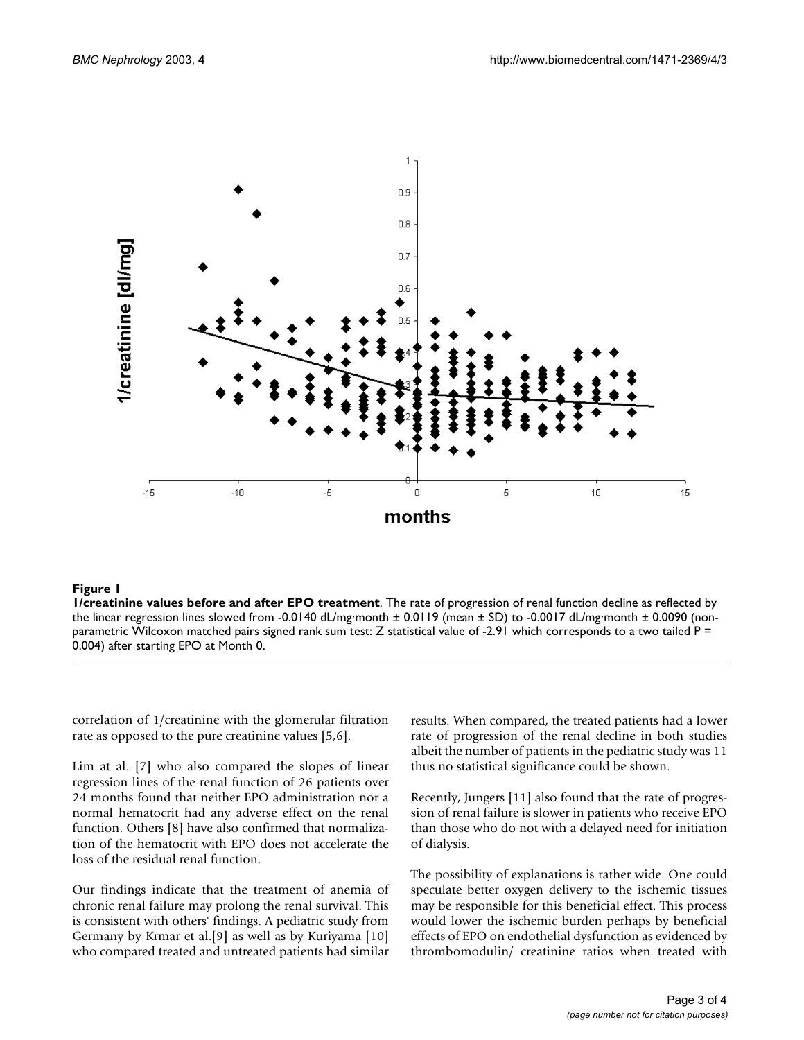

#### **Figure 1**

**1/creatinine values before and after EPO treatment**. The rate of progression of renal function decline as reflected by the linear regression lines slowed from -0.0140 dL/mg·month  $\pm$  0.0119 (mean  $\pm$  SD) to -0.0017 dL/mg·month  $\pm$  0.0090 (nonparametric Wilcoxon matched pairs signed rank sum test: Z statistical value of -2.91 which corresponds to a two tailed P = 0.004) after starting EPO at Month 0.

correlation of 1/creatinine with the glomerular filtration rate as opposed to the pure creatinine values [5,6].

Lim at al. [7] who also compared the slopes of linear regression lines of the renal function of 26 patients over 24 months found that neither EPO administration nor a normal hematocrit had any adverse effect on the renal function. Others [8] have also confirmed that normalization of the hematocrit with EPO does not accelerate the loss of the residual renal function.

Our findings indicate that the treatment of anemia of chronic renal failure may prolong the renal survival. This is consistent with others' findings. A pediatric study from Germany by Krmar et al.[9] as well as by Kuriyama [10] who compared treated and untreated patients had similar

results. When compared, the treated patients had a lower rate of progression of the renal decline in both studies albeit the number of patients in the pediatric study was 11 thus no statistical significance could be shown.

Recently, Jungers [11] also found that the rate of progression of renal failure is slower in patients who receive EPO than those who do not with a delayed need for initiation of dialysis.

The possibility of explanations is rather wide. One could speculate better oxygen delivery to the ischemic tissues may be responsible for this beneficial effect. This process would lower the ischemic burden perhaps by beneficial effects of EPO on endothelial dysfunction as evidenced by thrombomodulin/ creatinine ratios when treated with